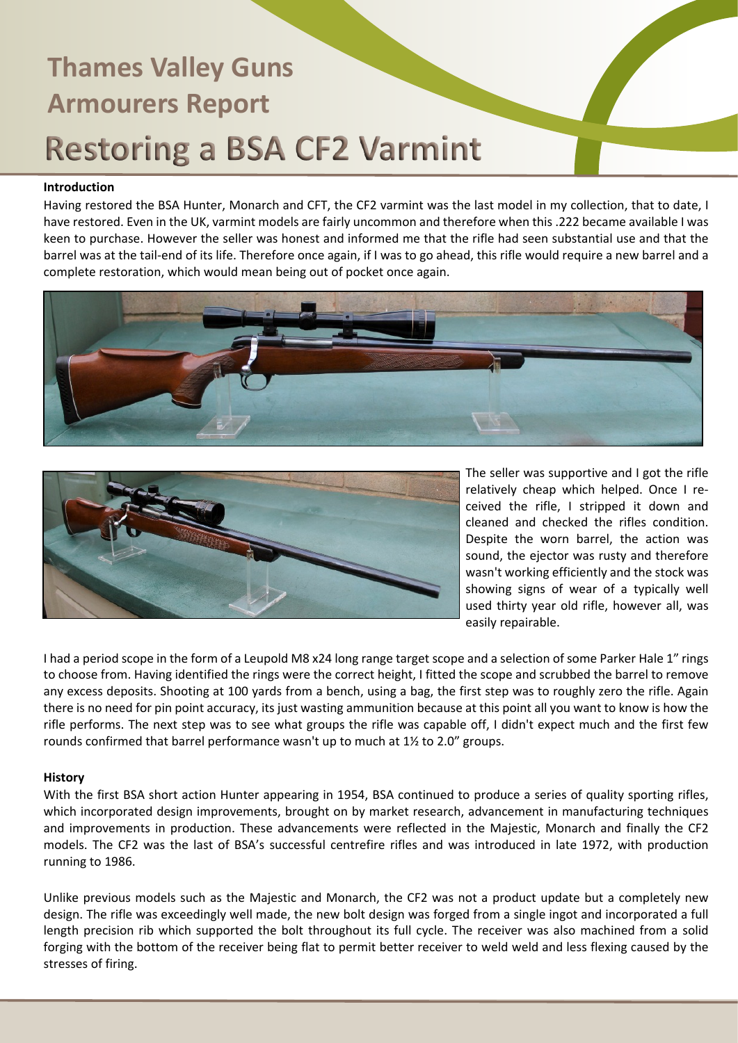#### **Introduction**

Having restored the BSA Hunter, Monarch and CFT, the CF2 varmint was the last model in my collection, that to date, I have restored. Even in the UK, varmint models are fairly uncommon and therefore when this .222 became available I was keen to purchase. However the seller was honest and informed me that the rifle had seen substantial use and that the barrel was at the tail-end of its life. Therefore once again, if I was to go ahead, this rifle would require a new barrel and a complete restoration, which would mean being out of pocket once again.





The seller was supportive and I got the rifle relatively cheap which helped. Once I received the rifle, I stripped it down and cleaned and checked the rifles condition. Despite the worn barrel, the action was sound, the ejector was rusty and therefore wasn't working efficiently and the stock was showing signs of wear of a typically well used thirty year old rifle, however all, was easily repairable.

I had a period scope in the form of a Leupold M8 x24 long range target scope and a selection of some Parker Hale 1" rings to choose from. Having identified the rings were the correct height, I fitted the scope and scrubbed the barrel to remove any excess deposits. Shooting at 100 yards from a bench, using a bag, the first step was to roughly zero the rifle. Again there is no need for pin point accuracy, its just wasting ammunition because at this point all you want to know is how the rifle performs. The next step was to see what groups the rifle was capable off, I didn't expect much and the first few rounds confirmed that barrel performance wasn't up to much at 1½ to 2.0" groups.

#### **History**

With the first BSA short action Hunter appearing in 1954, BSA continued to produce a series of quality sporting rifles, which incorporated design improvements, brought on by market research, advancement in manufacturing techniques and improvements in production. These advancements were reflected in the Majestic, Monarch and finally the CF2 models. The CF2 was the last of BSA's successful centrefire rifles and was introduced in late 1972, with production running to 1986.

Unlike previous models such as the Majestic and Monarch, the CF2 was not a product update but a completely new design. The rifle was exceedingly well made, the new bolt design was forged from a single ingot and incorporated a full length precision rib which supported the bolt throughout its full cycle. The receiver was also machined from a solid forging with the bottom of the receiver being flat to permit better receiver to weld weld and less flexing caused by the stresses of firing.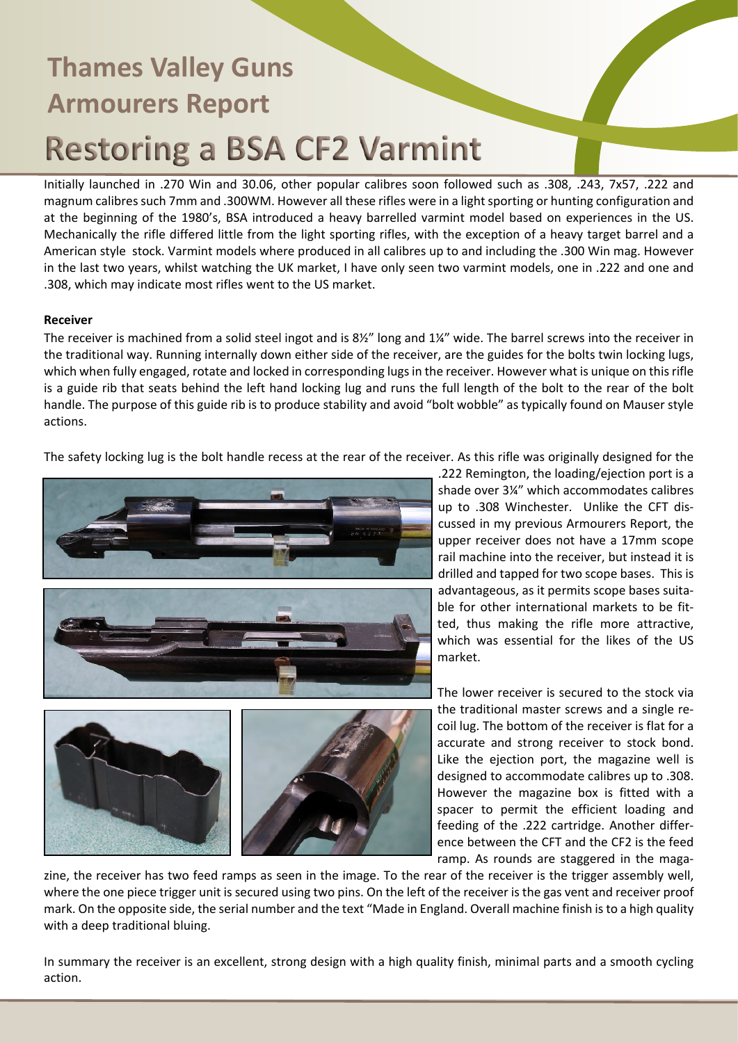Initially launched in .270 Win and 30.06, other popular calibres soon followed such as .308, .243, 7x57, .222 and magnum calibres such 7mm and .300WM. However all these rifles were in a light sporting or hunting configuration and at the beginning of the 1980's, BSA introduced a heavy barrelled varmint model based on experiences in the US. Mechanically the rifle differed little from the light sporting rifles, with the exception of a heavy target barrel and a American style stock. Varmint models where produced in all calibres up to and including the .300 Win mag. However in the last two years, whilst watching the UK market, I have only seen two varmint models, one in .222 and one and .308, which may indicate most rifles went to the US market.

### **Receiver**

The receiver is machined from a solid steel ingot and is 8½" long and 1¼" wide. The barrel screws into the receiver in the traditional way. Running internally down either side of the receiver, are the guides for the bolts twin locking lugs, which when fully engaged, rotate and locked in corresponding lugs in the receiver. However what is unique on this rifle is a guide rib that seats behind the left hand locking lug and runs the full length of the bolt to the rear of the bolt handle. The purpose of this guide rib is to produce stability and avoid "bolt wobble" as typically found on Mauser style actions.

The safety locking lug is the bolt handle recess at the rear of the receiver. As this rifle was originally designed for the





.222 Remington, the loading/ejection port is a shade over 3¼" which accommodates calibres up to .308 Winchester. Unlike the CFT discussed in my previous Armourers Report, the upper receiver does not have a 17mm scope rail machine into the receiver, but instead it is drilled and tapped for two scope bases. This is advantageous, as it permits scope bases suitable for other international markets to be fitted, thus making the rifle more attractive, which was essential for the likes of the US market.

The lower receiver is secured to the stock via the traditional master screws and a single recoil lug. The bottom of the receiver is flat for a accurate and strong receiver to stock bond. Like the ejection port, the magazine well is designed to accommodate calibres up to .308. However the magazine box is fitted with a spacer to permit the efficient loading and feeding of the .222 cartridge. Another difference between the CFT and the CF2 is the feed ramp. As rounds are staggered in the maga-

zine, the receiver has two feed ramps as seen in the image. To the rear of the receiver is the trigger assembly well, where the one piece trigger unit is secured using two pins. On the left of the receiver is the gas vent and receiver proof mark. On the opposite side, the serial number and the text "Made in England. Overall machine finish is to a high quality with a deep traditional bluing.

In summary the receiver is an excellent, strong design with a high quality finish, minimal parts and a smooth cycling action.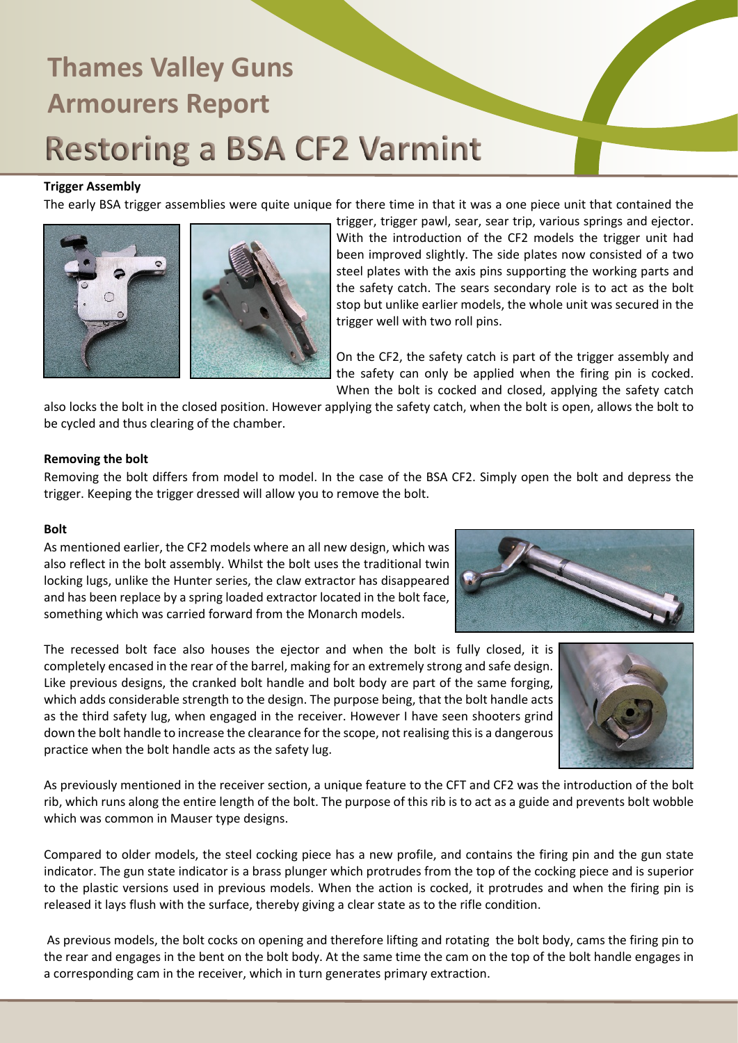### **Trigger Assembly**

The early BSA trigger assemblies were quite unique for there time in that it was a one piece unit that contained the



trigger, trigger pawl, sear, sear trip, various springs and ejector. With the introduction of the CF2 models the trigger unit had been improved slightly. The side plates now consisted of a two steel plates with the axis pins supporting the working parts and the safety catch. The sears secondary role is to act as the bolt stop but unlike earlier models, the whole unit was secured in the trigger well with two roll pins.

On the CF2, the safety catch is part of the trigger assembly and the safety can only be applied when the firing pin is cocked. When the bolt is cocked and closed, applying the safety catch

also locks the bolt in the closed position. However applying the safety catch, when the bolt is open, allows the bolt to be cycled and thus clearing of the chamber.

#### **Removing the bolt**

Removing the bolt differs from model to model. In the case of the BSA CF2. Simply open the bolt and depress the trigger. Keeping the trigger dressed will allow you to remove the bolt.

#### **Bolt**

As mentioned earlier, the CF2 models where an all new design, which was also reflect in the bolt assembly. Whilst the bolt uses the traditional twin locking lugs, unlike the Hunter series, the claw extractor has disappeared and has been replace by a spring loaded extractor located in the bolt face, something which was carried forward from the Monarch models.

The recessed bolt face also houses the ejector and when the bolt is fully closed, it is completely encased in the rear of the barrel, making for an extremely strong and safe design. Like previous designs, the cranked bolt handle and bolt body are part of the same forging, which adds considerable strength to the design. The purpose being, that the bolt handle acts as the third safety lug, when engaged in the receiver. However I have seen shooters grind down the bolt handle to increase the clearance for the scope, not realising this is a dangerous practice when the bolt handle acts as the safety lug.





As previously mentioned in the receiver section, a unique feature to the CFT and CF2 was the introduction of the bolt rib, which runs along the entire length of the bolt. The purpose of this rib is to act as a guide and prevents bolt wobble which was common in Mauser type designs.

Compared to older models, the steel cocking piece has a new profile, and contains the firing pin and the gun state indicator. The gun state indicator is a brass plunger which protrudes from the top of the cocking piece and is superior to the plastic versions used in previous models. When the action is cocked, it protrudes and when the firing pin is released it lays flush with the surface, thereby giving a clear state as to the rifle condition.

 As previous models, the bolt cocks on opening and therefore lifting and rotating the bolt body, cams the firing pin to the rear and engages in the bent on the bolt body. At the same time the cam on the top of the bolt handle engages in a corresponding cam in the receiver, which in turn generates primary extraction.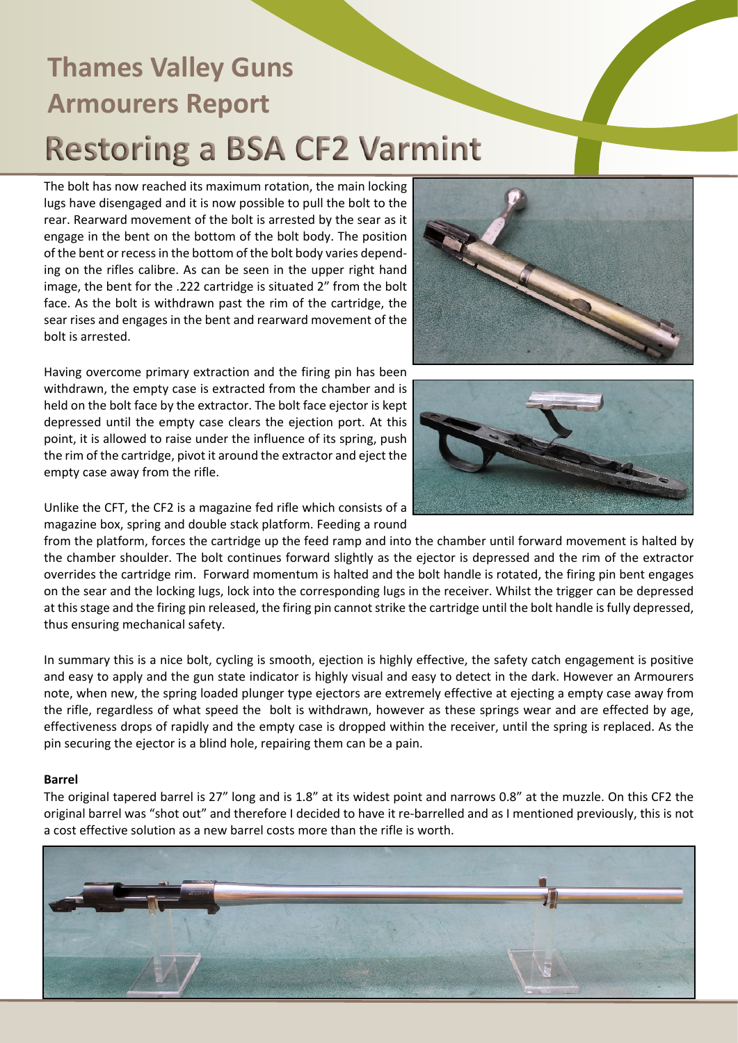The bolt has now reached its maximum rotation, the main locking lugs have disengaged and it is now possible to pull the bolt to the rear. Rearward movement of the bolt is arrested by the sear as it engage in the bent on the bottom of the bolt body. The position of the bent or recess in the bottom of the bolt body varies depending on the rifles calibre. As can be seen in the upper right hand image, the bent for the .222 cartridge is situated 2" from the bolt face. As the bolt is withdrawn past the rim of the cartridge, the sear rises and engages in the bent and rearward movement of the bolt is arrested.

Having overcome primary extraction and the firing pin has been withdrawn, the empty case is extracted from the chamber and is held on the bolt face by the extractor. The bolt face ejector is kept depressed until the empty case clears the ejection port. At this point, it is allowed to raise under the influence of its spring, push the rim of the cartridge, pivot it around the extractor and eject the empty case away from the rifle.





Unlike the CFT, the CF2 is a magazine fed rifle which consists of a magazine box, spring and double stack platform. Feeding a round

from the platform, forces the cartridge up the feed ramp and into the chamber until forward movement is halted by the chamber shoulder. The bolt continues forward slightly as the ejector is depressed and the rim of the extractor overrides the cartridge rim. Forward momentum is halted and the bolt handle is rotated, the firing pin bent engages on the sear and the locking lugs, lock into the corresponding lugs in the receiver. Whilst the trigger can be depressed at this stage and the firing pin released, the firing pin cannot strike the cartridge until the bolt handle is fully depressed, thus ensuring mechanical safety.

In summary this is a nice bolt, cycling is smooth, ejection is highly effective, the safety catch engagement is positive and easy to apply and the gun state indicator is highly visual and easy to detect in the dark. However an Armourers note, when new, the spring loaded plunger type ejectors are extremely effective at ejecting a empty case away from the rifle, regardless of what speed the bolt is withdrawn, however as these springs wear and are effected by age, effectiveness drops of rapidly and the empty case is dropped within the receiver, until the spring is replaced. As the pin securing the ejector is a blind hole, repairing them can be a pain.

### **Barrel**

The original tapered barrel is 27" long and is 1.8" at its widest point and narrows 0.8" at the muzzle. On this CF2 the original barrel was "shot out" and therefore I decided to have it re-barrelled and as I mentioned previously, this is not a cost effective solution as a new barrel costs more than the rifle is worth.

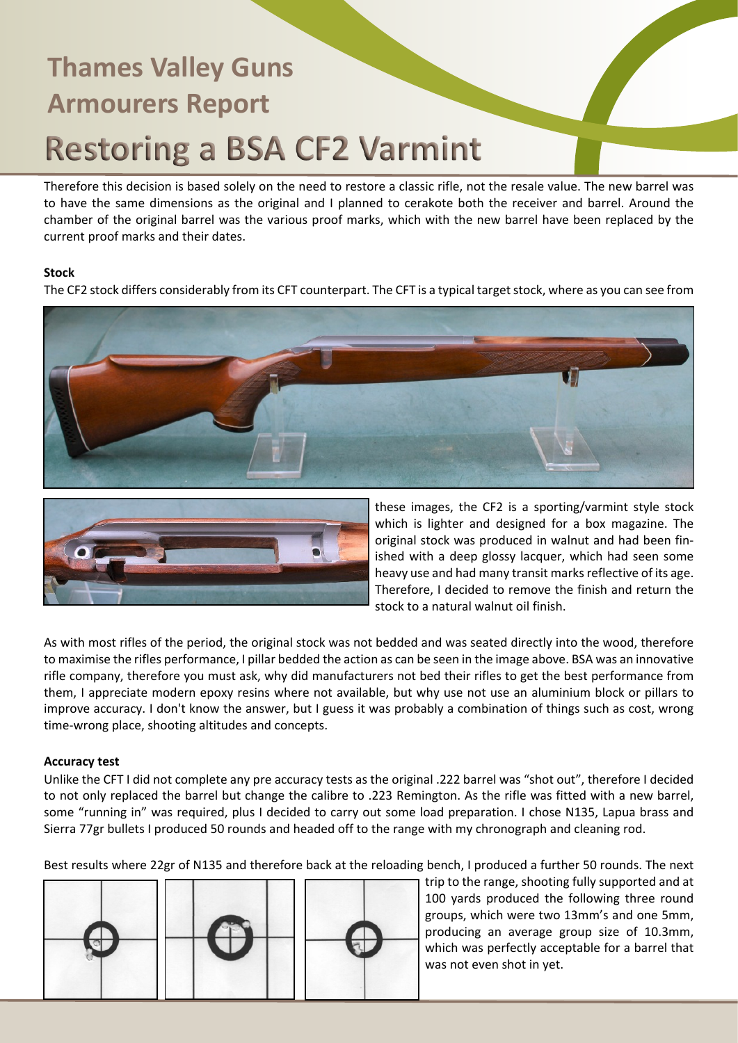Therefore this decision is based solely on the need to restore a classic rifle, not the resale value. The new barrel was to have the same dimensions as the original and I planned to cerakote both the receiver and barrel. Around the chamber of the original barrel was the various proof marks, which with the new barrel have been replaced by the current proof marks and their dates.

### **Stock**

The CF2 stock differs considerably from its CFT counterpart. The CFT is a typical target stock, where as you can see from





these images, the CF2 is a sporting/varmint style stock which is lighter and designed for a box magazine. The original stock was produced in walnut and had been finished with a deep glossy lacquer, which had seen some heavy use and had many transit marks reflective of its age. Therefore, I decided to remove the finish and return the stock to a natural walnut oil finish.

As with most rifles of the period, the original stock was not bedded and was seated directly into the wood, therefore to maximise the rifles performance, I pillar bedded the action as can be seen in the image above. BSA was an innovative rifle company, therefore you must ask, why did manufacturers not bed their rifles to get the best performance from them, I appreciate modern epoxy resins where not available, but why use not use an aluminium block or pillars to improve accuracy. I don't know the answer, but I guess it was probably a combination of things such as cost, wrong time-wrong place, shooting altitudes and concepts.

### **Accuracy test**

Unlike the CFT I did not complete any pre accuracy tests as the original .222 barrel was "shot out", therefore I decided to not only replaced the barrel but change the calibre to .223 Remington. As the rifle was fitted with a new barrel, some "running in" was required, plus I decided to carry out some load preparation. I chose N135, Lapua brass and Sierra 77gr bullets I produced 50 rounds and headed off to the range with my chronograph and cleaning rod.

Best results where 22gr of N135 and therefore back at the reloading bench, I produced a further 50 rounds. The next



trip to the range, shooting fully supported and at 100 yards produced the following three round groups, which were two 13mm's and one 5mm, producing an average group size of 10.3mm, which was perfectly acceptable for a barrel that was not even shot in yet.